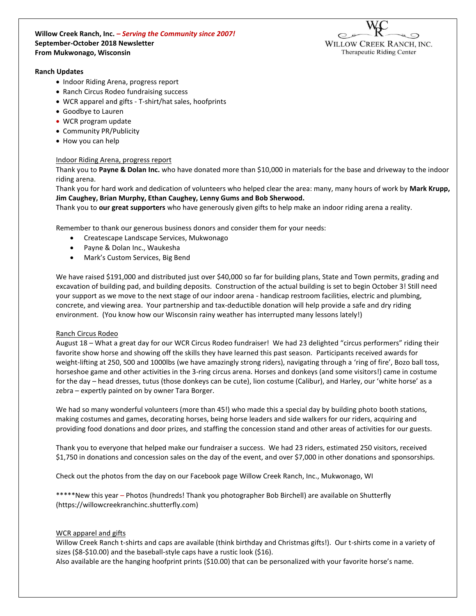**Willow Creek Ranch, Inc.** *– Serving the Community since 2007!* **September-October 2018 Newsletter From Mukwonago, Wisconsin**



#### **Ranch Updates**

- Indoor Riding Arena, progress report
- Ranch Circus Rodeo fundraising success
- WCR apparel and gifts T-shirt/hat sales, hoofprints
- Goodbye to Lauren
- WCR program update
- Community PR/Publicity
- How you can help

### Indoor Riding Arena, progress report

Thank you to **Payne & Dolan Inc.** who have donated more than \$10,000 in materials for the base and driveway to the indoor riding arena.

Thank you for hard work and dedication of volunteers who helped clear the area: many, many hours of work by **Mark Krupp, Jim Caughey, Brian Murphy, Ethan Caughey, Lenny Gums and Bob Sherwood.**

Thank you to **our great supporters** who have generously given gifts to help make an indoor riding arena a reality.

Remember to thank our generous business donors and consider them for your needs:

- Createscape Landscape Services, Mukwonago
- Payne & Dolan Inc., Waukesha
- Mark's Custom Services, Big Bend

We have raised \$191,000 and distributed just over \$40,000 so far for building plans, State and Town permits, grading and excavation of building pad, and building deposits. Construction of the actual building is set to begin October 3! Still need your support as we move to the next stage of our indoor arena - handicap restroom facilities, electric and plumbing, concrete, and viewing area. Your partnership and tax-deductible donation will help provide a safe and dry riding environment. (You know how our Wisconsin rainy weather has interrupted many lessons lately!)

### Ranch Circus Rodeo

August 18 – What a great day for our WCR Circus Rodeo fundraiser! We had 23 delighted "circus performers" riding their favorite show horse and showing off the skills they have learned this past season. Participants received awards for weight-lifting at 250, 500 and 1000lbs (we have amazingly strong riders), navigating through a 'ring of fire', Bozo ball toss, horseshoe game and other activities in the 3-ring circus arena. Horses and donkeys (and some visitors!) came in costume for the day – head dresses, tutus (those donkeys can be cute), lion costume (Calibur), and Harley, our 'white horse' as a zebra – expertly painted on by owner Tara Borger.

We had so many wonderful volunteers (more than 45!) who made this a special day by building photo booth stations, making costumes and games, decorating horses, being horse leaders and side walkers for our riders, acquiring and providing food donations and door prizes, and staffing the concession stand and other areas of activities for our guests.

Thank you to everyone that helped make our fundraiser a success. We had 23 riders, estimated 250 visitors, received \$1,750 in donations and concession sales on the day of the event, and over \$7,000 in other donations and sponsorships.

Check out the photos from the day on our Facebook page Willow Creek Ranch, Inc., Mukwonago, WI

\*\*\*\*\*New this year – Photos (hundreds! Thank you photographer Bob Birchell) are available on Shutterfly (https://willowcreekranchinc.shutterfly.com)

### WCR apparel and gifts

Willow Creek Ranch t-shirts and caps are available (think birthday and Christmas gifts!). Our t-shirts come in a variety of sizes (\$8-\$10.00) and the baseball-style caps have a rustic look (\$16).

Also available are the hanging hoofprint prints (\$10.00) that can be personalized with your favorite horse's name.